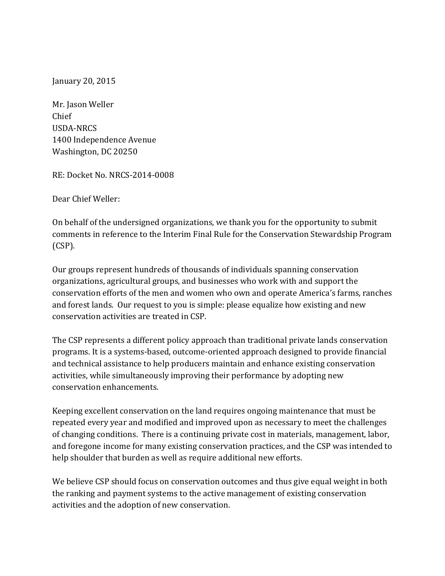January 20, 2015

Mr. Jason Weller Chief USDA-NRCS 1400 Independence Avenue Washington, DC 20250

RE: Docket No. NRCS-2014-0008

Dear Chief Weller:

On behalf of the undersigned organizations, we thank you for the opportunity to submit comments in reference to the Interim Final Rule for the Conservation Stewardship Program (CSP).

Our groups represent hundreds of thousands of individuals spanning conservation organizations, agricultural groups, and businesses who work with and support the conservation efforts of the men and women who own and operate America's farms, ranches and forest lands. Our request to you is simple: please equalize how existing and new conservation activities are treated in CSP.

The CSP represents a different policy approach than traditional private lands conservation programs. It is a systems-based, outcome-oriented approach designed to provide financial and technical assistance to help producers maintain and enhance existing conservation activities, while simultaneously improving their performance by adopting new conservation enhancements.

Keeping excellent conservation on the land requires ongoing maintenance that must be repeated every year and modified and improved upon as necessary to meet the challenges of changing conditions. There is a continuing private cost in materials, management, labor, and foregone income for many existing conservation practices, and the CSP was intended to help shoulder that burden as well as require additional new efforts.

We believe CSP should focus on conservation outcomes and thus give equal weight in both the ranking and payment systems to the active management of existing conservation activities and the adoption of new conservation.